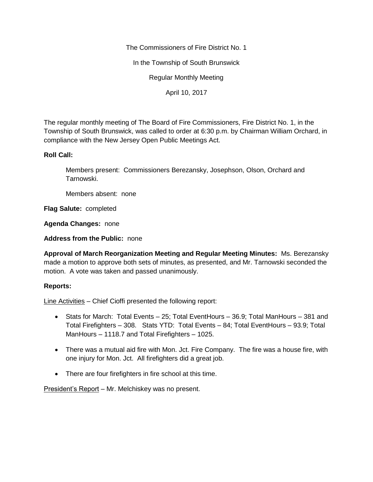The Commissioners of Fire District No. 1

In the Township of South Brunswick

Regular Monthly Meeting

April 10, 2017

The regular monthly meeting of The Board of Fire Commissioners, Fire District No. 1, in the Township of South Brunswick, was called to order at 6:30 p.m. by Chairman William Orchard, in compliance with the New Jersey Open Public Meetings Act.

## **Roll Call:**

Members present: Commissioners Berezansky, Josephson, Olson, Orchard and Tarnowski.

Members absent: none

**Flag Salute:** completed

**Agenda Changes:** none

**Address from the Public:** none

**Approval of March Reorganization Meeting and Regular Meeting Minutes:** Ms. Berezansky made a motion to approve both sets of minutes, as presented, and Mr. Tarnowski seconded the motion. A vote was taken and passed unanimously.

## **Reports:**

Line Activities – Chief Cioffi presented the following report:

- Stats for March: Total Events 25; Total EventHours 36.9; Total ManHours 381 and Total Firefighters – 308. Stats YTD: Total Events – 84; Total EventHours – 93.9; Total ManHours – 1118.7 and Total Firefighters – 1025.
- There was a mutual aid fire with Mon. Jct. Fire Company. The fire was a house fire, with one injury for Mon. Jct. All firefighters did a great job.
- There are four firefighters in fire school at this time.

President's Report – Mr. Melchiskey was no present.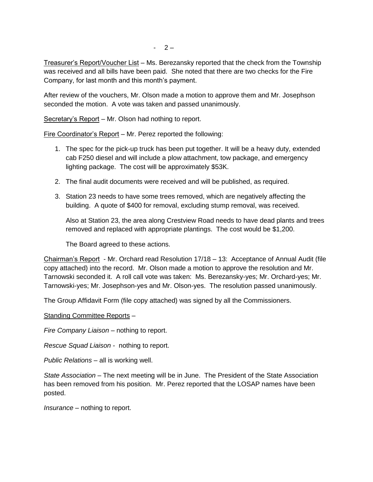Treasurer's Report/Voucher List – Ms. Berezansky reported that the check from the Township was received and all bills have been paid. She noted that there are two checks for the Fire Company, for last month and this month's payment.

After review of the vouchers, Mr. Olson made a motion to approve them and Mr. Josephson seconded the motion. A vote was taken and passed unanimously.

Secretary's Report – Mr. Olson had nothing to report.

Fire Coordinator's Report – Mr. Perez reported the following:

- 1. The spec for the pick-up truck has been put together. It will be a heavy duty, extended cab F250 diesel and will include a plow attachment, tow package, and emergency lighting package. The cost will be approximately \$53K.
- 2. The final audit documents were received and will be published, as required.
- 3. Station 23 needs to have some trees removed, which are negatively affecting the building. A quote of \$400 for removal, excluding stump removal, was received.

Also at Station 23, the area along Crestview Road needs to have dead plants and trees removed and replaced with appropriate plantings. The cost would be \$1,200.

The Board agreed to these actions.

Chairman's Report - Mr. Orchard read Resolution 17/18 – 13: Acceptance of Annual Audit (file copy attached) into the record. Mr. Olson made a motion to approve the resolution and Mr. Tarnowski seconded it. A roll call vote was taken: Ms. Berezansky-yes; Mr. Orchard-yes; Mr. Tarnowski-yes; Mr. Josephson-yes and Mr. Olson-yes. The resolution passed unanimously.

The Group Affidavit Form (file copy attached) was signed by all the Commissioners.

## Standing Committee Reports –

*Fire Company Liaison –* nothing to report.

*Rescue Squad Liaison -* nothing to report.

*Public Relations –* all is working well.

*State Association –* The next meeting will be in June. The President of the State Association has been removed from his position. Mr. Perez reported that the LOSAP names have been posted.

*Insurance –* nothing to report.